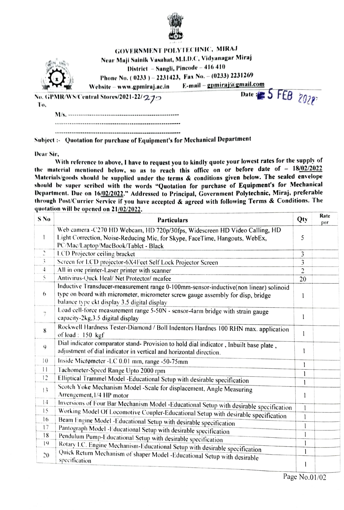

|     | <b>GOVERNMENT POLYTECHNIC, MIRAJ</b><br>Near Maji Sainik Vasahat, M.L.D.C, Vidyanagar Miraj<br>District - Sangli, Pincode - 416 410<br>Phone No. (0233) - 2231423, Fax No. - (0233) 2231269<br>Website – www.gpmiraj.ac.in | E-mail – gpmiraj@gmail.com |  |
|-----|----------------------------------------------------------------------------------------------------------------------------------------------------------------------------------------------------------------------------|----------------------------|--|
| Ŧо, | No. GPMR/WS/Central Stores/2021-22/270                                                                                                                                                                                     | Date: 5 FEB $2029$         |  |
|     |                                                                                                                                                                                                                            |                            |  |
|     |                                                                                                                                                                                                                            |                            |  |
|     |                                                                                                                                                                                                                            |                            |  |

Subject :- Quotation for purchase of Equipment's for Mechanical Department

Dear Sir

With reference to above, I have to request you to kindly quote your lowest rates for the supply of the material mentioned below, so as to reach this office on or before date of  $-18/02/2022$ Materials/goods should be supplied under the terms & conditions given below. The sealed envelope should be super seribed with the words "Quotation for purchase of Equipment's for Mechanical Department. Due on 16/02/2022." Addressed to Principal, Government Polytechnic, Miraj, preferable through Post/Currier Service if you have accepted & agreed with following Terms & Conditions. The quotation will be opened on 21/02/2022.

| S No            | <b>Particulars</b>                                                                                                                                                                                                      | Qty                     | Rate<br>per |
|-----------------|-------------------------------------------------------------------------------------------------------------------------------------------------------------------------------------------------------------------------|-------------------------|-------------|
| 1               | Web camera -C270 HD Webcam, HD 720p/30fps, Widescreen HD Video Calling, HD<br>Light Correction, Noise-Reducing Mic, for Skype, FaceTime, Hangouts, WebEx,<br>PC/Mac/Laptop/MacBook/Tablet - Black                       | 5                       |             |
| $\ddot{c}$      | LCD Projector ceiling bracket                                                                                                                                                                                           | 3                       |             |
| 3               | Screen for LCD projector-6X4Feet Self Lock Projector Screen                                                                                                                                                             | $\overline{\mathbf{3}}$ |             |
| $\ddot{ }$      | All in one printer-Laser printer with scanner                                                                                                                                                                           | $\overline{2}$          |             |
| 5               | Antivirus-Quck Heal/ Net Protector/ mcafee                                                                                                                                                                              | 20                      |             |
| 6               | Inductive Transducer-measurement range 0-100mm-sensor-inductive(non linear) solinoid<br>type on board with micrometer, micrometer screw gauge assembly for disp, bridge<br>balance type ckt display 3.5 digital display | 1                       |             |
| $\overline{7}$  | Load cell-force measurement range 5-50N - sensor-4arm bridge with strain gauge<br>capacity-2kg, 3.5 digital display                                                                                                     | $\mathbf{I}$            |             |
| 8               | Rockwell Hardness Tester-Diamond / Boll Indentors Hardnes 100 RHN max. application<br>of load: $150$ kgf                                                                                                                | 1                       |             |
| 9               | Dial indicator comparator stand-Provision to hold dial indicator, Inbuilt base plate,<br>adjustment of dial indicator in vertical and horizontal direction.                                                             | 1                       |             |
| 10              | Inside Micrometer -LC 0.01 mm, range -50-75mm                                                                                                                                                                           | 1                       |             |
| $\vert \vert$   | Tachometer-Speed Range Upto 2000 rpm                                                                                                                                                                                    | l                       |             |
| 12              | Elliptical Trammel Model -Educational Setup with desirable specification                                                                                                                                                | 1                       |             |
| $\overline{13}$ | Scotch Yoke Mechanism Model -Scale for displacement, Angle Measuring<br>Arrengement, 1/4 HP motor                                                                                                                       | 1                       |             |
| 4               | Inversions of Four Bar Mechanism Model -Educational Setup with desirable specification                                                                                                                                  |                         |             |
| 15              | Working Model Of Locomotive Coupler-Educational Setup with desirable specification                                                                                                                                      | 1                       |             |
| 16              | Beam Engine Model -Educational Setup with desirable specification                                                                                                                                                       | l                       |             |
| 17              | Pantograph Model -Educational Setup with desirable specification                                                                                                                                                        | l                       |             |
| 18              | Pendulum Pump-Educational Setup with desirable specification                                                                                                                                                            | $\mathbf{l}$            |             |
| 19              | Rotary I.C. Engine Mechanism-Educational Setup with desirable specification                                                                                                                                             | $\mathbf{l}$            |             |
| 20              | Quick Return Mechanism of shaper Model - Educational Setup with desirable<br>specification                                                                                                                              | $\mathbf{l}$<br>1       |             |